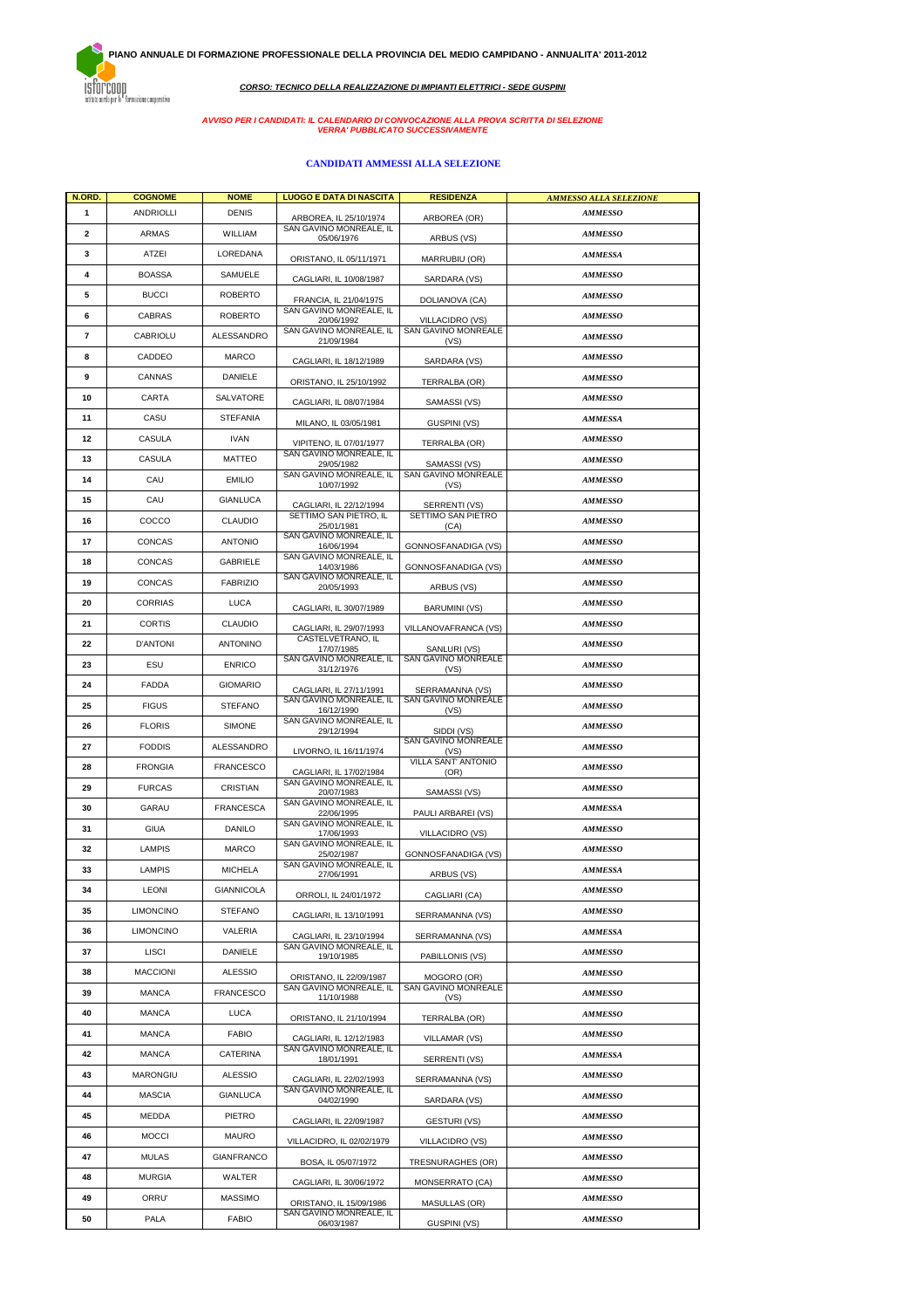.<br>ISTOPCOOD<br>istituto serdo per la "formazione cooperativa"

**CORSO: TECNICO DELLA REALIZZAZIONE DI IMPIANTI ELETTRICI - SEDE GUSPINI**

# **AVVISO PER I CANDIDATI: IL CALENDARIO DI CONVOCAZIONE ALLA PROVA SCRITTA DI SELEZIONE VERRA' PUBBLICATO SUCCESSIVAMENTE**

## **CANDIDATI AMMESSI ALLA SELEZIONE**

| N.ORD.                   | <b>COGNOME</b>   | <b>NOME</b>       | <b>LUOGO E DATA DI NASCITA</b>                     | <b>RESIDENZA</b>            | AMMESSO ALLA SELEZIONE |  |
|--------------------------|------------------|-------------------|----------------------------------------------------|-----------------------------|------------------------|--|
| 1                        | ANDRIOLLI        | <b>DENIS</b>      | ARBOREA, IL 25/10/1974                             | ARBOREA (OR)                | <b>AMMESSO</b>         |  |
| 2                        | ARMAS            | WILLIAM           | SAN GAVINO MONREALE, IL<br>05/06/1976              | ARBUS (VS)                  | <b>AMMESSO</b>         |  |
| 3                        | ATZEI            | LOREDANA          | ORISTANO, IL 05/11/1971                            | MARRUBIU (OR)               | <b>AMMESSA</b>         |  |
| 4                        | <b>BOASSA</b>    | SAMUELE           | CAGLIARI. IL 10/08/1987                            | SARDARA (VS)                | <b>AMMESSO</b>         |  |
| 5                        | <b>BUCCI</b>     | <b>ROBERTO</b>    | FRANCIA, IL 21/04/1975                             | DOLIANOVA (CA)              | <b>AMMESSO</b>         |  |
| 6                        | CABRAS           | <b>ROBERTO</b>    | SAN GAVINO MONREALE, IL<br>20/06/1992              | VILLACIDRO (VS)             | <b>AMMESSO</b>         |  |
| $\overline{\phantom{a}}$ | CABRIOLU         | ALESSANDRO        | SAN GAVINO MONREALE, IL<br>21/09/1984              | SAN GAVINO MONREALE<br>(VS) | <b>AMMESSO</b>         |  |
| 8                        | CADDEO           | MARCO             | CAGLIARI, IL 18/12/1989                            | SARDARA (VS)                | <b>AMMESSO</b>         |  |
| 9                        | CANNAS           | <b>DANIELE</b>    | ORISTANO, IL 25/10/1992                            | TERRALBA (OR)               | <b>AMMESSO</b>         |  |
| 10                       | CARTA            | SALVATORE         | CAGLIARI, IL 08/07/1984                            | SAMASSI (VS)                | <b>AMMESSO</b>         |  |
| 11                       | CASU             | <b>STEFANIA</b>   | MILANO, IL 03/05/1981                              | GUSPINI (VS)                | AMMESSA                |  |
| 12                       | CASULA           | <b>IVAN</b>       | VIPITENO, IL 07/01/1977                            | TERRALBA (OR)               | <b>AMMESSO</b>         |  |
| 13                       | CASULA           | <b>MATTEO</b>     | SAN GAVINO MONREALE, IL<br>29/05/1982              | SAMASSI (VS)                | <b>AMMESSO</b>         |  |
| 14                       | CAU              | <b>EMILIO</b>     | SAN GAVINO MONREALE, IL<br>10/07/1992              | SAN GAVINO MONREALE<br>(VS) | <b>AMMESSO</b>         |  |
| 15                       | CAU              | <b>GIANLUCA</b>   | CAGLIARI, IL 22/12/1994                            | SERRENTI (VS)               | <b>AMMESSO</b>         |  |
| 16                       | COCCO            | <b>CLAUDIO</b>    | SETTIMO SAN PIETRO, IL<br>25/01/1981               | SETTIMO SAN PIETRO<br>(CA)  | <b>AMMESSO</b>         |  |
| 17                       | CONCAS           | <b>ANTONIO</b>    | SAN GAVINO MONREALE. IL<br>16/06/1994              | GONNOSFANADIGA (VS)         | <b>AMMESSO</b>         |  |
| 18                       | CONCAS           | GABRIELE          | SAN GAVINO MONREALE, IL<br>14/03/1986              | GONNOSFANADIGA (VS)         | <b>AMMESSO</b>         |  |
| 19                       | CONCAS           | <b>FABRIZIO</b>   | SAN GAVINO MONREALE, IL<br>20/05/1993              | ARBUS (VS)                  | <b>AMMESSO</b>         |  |
| 20                       | <b>CORRIAS</b>   | <b>LUCA</b>       | CAGLIARI, IL 30/07/1989                            | <b>BARUMINI (VS)</b>        | <b>AMMESSO</b>         |  |
| 21                       | <b>CORTIS</b>    | <b>CLAUDIO</b>    | CAGLIARI. IL 29/07/1993                            | VILLANOVAFRANCA (VS)        | <b>AMMESSO</b>         |  |
| 22                       | <b>D'ANTONI</b>  | <b>ANTONINO</b>   | CASTELVETRANO, IL<br>17/07/1985                    | SANLURI (VS)                | <b>AMMESSO</b>         |  |
| 23                       | ESU              | <b>ENRICO</b>     | SAN GAVINO MONREALE, IL<br>31/12/1976              | SAN GAVINO MONREALE<br>(VS) | <b>AMMESSO</b>         |  |
| 24                       | FADDA            | <b>GIOMARIO</b>   | CAGLIARI, IL 27/11/1991                            | SERRAMANNA (VS)             | <b>AMMESSO</b>         |  |
| 25                       | <b>FIGUS</b>     | <b>STEFANO</b>    | SAN GAVINO MONREALE, IL<br>16/12/1990              | SAN GAVINO MONREALE<br>(VS) | <b>AMMESSO</b>         |  |
| 26                       | <b>FLORIS</b>    | SIMONE            | SAN GAVINO MONREALE, IL<br>29/12/1994              | SIDDI (VS)                  | <b>AMMESSO</b>         |  |
| 27                       | <b>FODDIS</b>    | ALESSANDRO        | LIVORNO, IL 16/11/1974                             | SAN GAVINO MONREALE<br>(VS) | <b>AMMESSO</b>         |  |
| 28                       | <b>FRONGIA</b>   | <b>FRANCESCO</b>  | CAGLIARI, IL 17/02/1984                            | VILLA SANT' ANTONIO<br>(OR) | <b>AMMESSO</b>         |  |
| 29                       | <b>FURCAS</b>    | CRISTIAN          | SAN GAVINO MONREALE, IL<br>20/07/1983              | SAMASSI (VS)                | <b>AMMESSO</b>         |  |
| 30                       | GARAU            | <b>FRANCESCA</b>  | SAN GAVINO MONREALE, IL<br>22/06/1995              | PAULI ARBAREI (VS)          | <b>AMMESSA</b>         |  |
| 31                       | <b>GIUA</b>      | <b>DANILO</b>     | SAN GAVINO MONREALE, IL<br>17/06/1993              | VILLACIDRO (VS)             | <b>AMMESSO</b>         |  |
| 32                       | <b>LAMPIS</b>    | <b>MARCO</b>      | SAN GAVINO MONREALE, IL<br>25/02/1987              | GONNOSFANADIGA (VS)         | <b>AMMESSO</b>         |  |
| 33                       | <b>LAMPIS</b>    | <b>MICHELA</b>    | SAN GAVINO MONREALE, IL<br>27/06/1991              | ARBUS (VS)                  | <b>AMMESSA</b>         |  |
| 34                       | <b>LEONI</b>     | GIANNICOLA        | ORROLI, IL 24/01/1972                              | CAGLIARI (CA)               | <b>AMMESSO</b>         |  |
| 35                       | <b>LIMONCINO</b> | <b>STEFANO</b>    | CAGLIARI, IL 13/10/1991                            | SERRAMANNA (VS)             | <b>AMMESSO</b>         |  |
| 36                       | <b>LIMONCINO</b> | VALERIA           | CAGLIARI, IL 23/10/1994                            | SERRAMANNA (VS)             | <b>AMMESSA</b>         |  |
| 37                       | <b>LISCI</b>     | DANIELE           | SAN GAVINO MONREALE, IL<br>19/10/1985              | PABILLONIS (VS)             | <b>AMMESSO</b>         |  |
| 38                       | <b>MACCIONI</b>  | <b>ALESSIO</b>    | ORISTANO, IL 22/09/1987                            | MOGORO (OR)                 | <b>AMMESSO</b>         |  |
| 39                       | <b>MANCA</b>     | <b>FRANCESCO</b>  | SAN GAVINO MONREALE, IL<br>11/10/1988              | SAN GAVINO MONREALE<br>(VS) | <b>AMMESSO</b>         |  |
| 40                       | <b>MANCA</b>     | <b>LUCA</b>       | ORISTANO, IL 21/10/1994                            | TERRALBA (OR)               | <b>AMMESSO</b>         |  |
| 41                       | MANCA            | <b>FABIO</b>      | CAGLIARI, IL 12/12/1983<br>SAN GAVINO MONREALE, IL | VILLAMAR (VS)               | <b>AMMESSO</b>         |  |
| 42                       | MANCA            | CATERINA          | 18/01/1991                                         | SERRENTI (VS)               | <b>AMMESSA</b>         |  |
| 43                       | MARONGIU         | <b>ALESSIO</b>    | CAGLIARI, IL 22/02/1993                            | SERRAMANNA (VS)             | <b>AMMESSO</b>         |  |
| 44                       | <b>MASCIA</b>    | <b>GIANLUCA</b>   | SAN GAVINO MONREALE, IL<br>04/02/1990              | SARDARA (VS)                | <b>AMMESSO</b>         |  |
| 45                       | MEDDA            | PIETRO            | CAGLIARI, IL 22/09/1987                            | GESTURI (VS)                | <b>AMMESSO</b>         |  |
| 46                       | <b>MOCCI</b>     | MAURO             | VILLACIDRO, IL 02/02/1979                          | VILLACIDRO (VS)             | <b>AMMESSO</b>         |  |
| 47                       | MULAS            | <b>GIANFRANCO</b> | BOSA, IL 05/07/1972                                | TRESNURAGHES (OR)           | <b>AMMESSO</b>         |  |
| 48                       | MURGIA           | WALTER            | CAGLIARI, IL 30/06/1972                            | MONSERRATO (CA)             | <b>AMMESSO</b>         |  |
| 49                       | ORRU'            | <b>MASSIMO</b>    | ORISTANO, IL 15/09/1986                            | <b>MASULLAS (OR)</b>        | <b>AMMESSO</b>         |  |
| 50                       | PALA             | <b>FABIO</b>      | SAN GAVINO MONREALE, IL<br>06/03/1987              | GUSPINI (VS)                | <b>AMMESSO</b>         |  |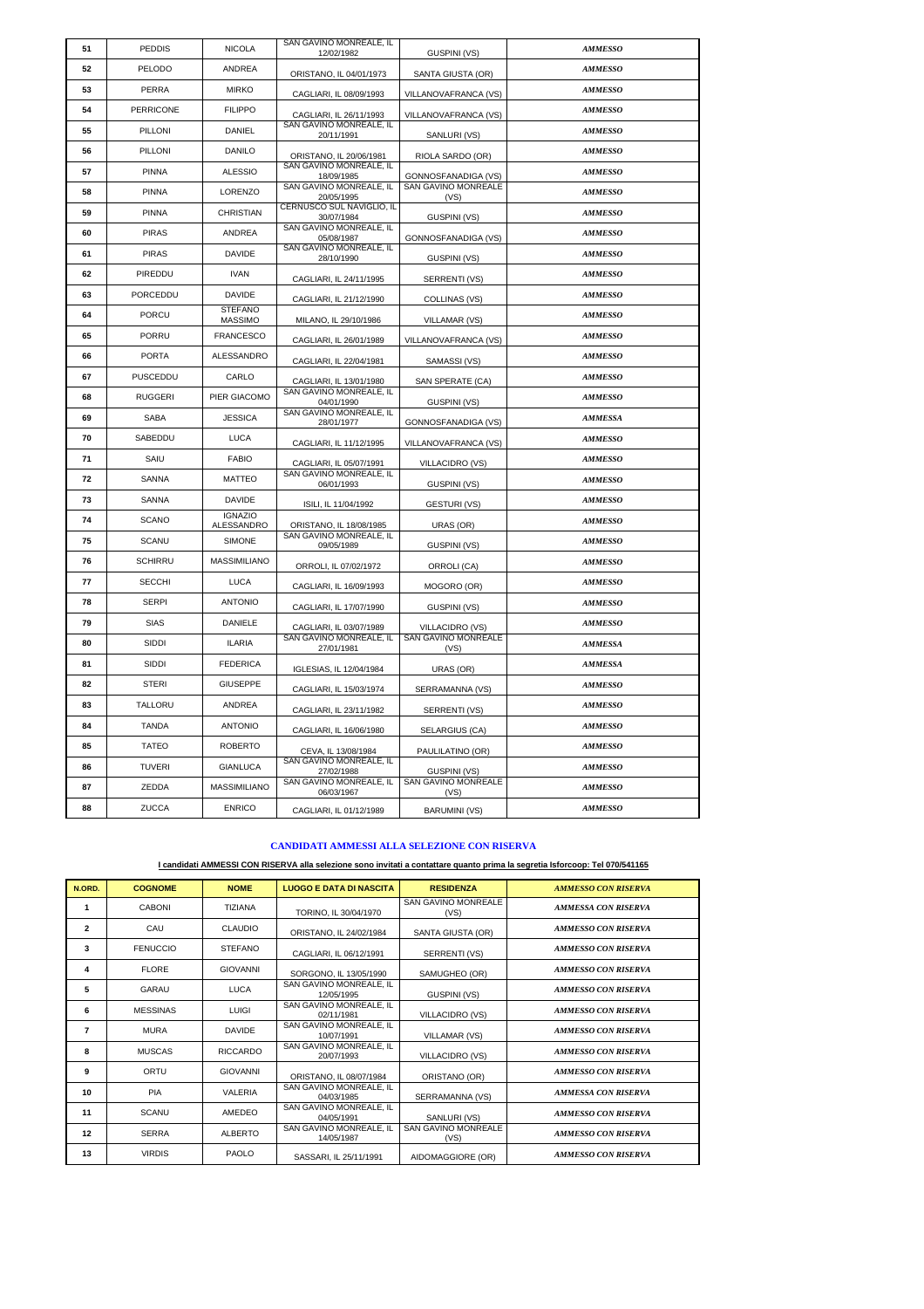| 51 | <b>PEDDIS</b>  | <b>NICOLA</b>                    | SAN GAVINO MONREALE, IL<br>12/02/1982   | GUSPINI (VS)                | <b>AMMESSO</b> |  |
|----|----------------|----------------------------------|-----------------------------------------|-----------------------------|----------------|--|
| 52 | PELODO         | <b>ANDREA</b>                    | ORISTANO, IL 04/01/1973                 | SANTA GIUSTA (OR)           | <b>AMMESSO</b> |  |
| 53 | PERRA          | <b>MIRKO</b>                     | CAGLIARI, IL 08/09/1993                 | VILLANOVAFRANCA (VS)        | <b>AMMESSO</b> |  |
| 54 | PERRICONE      | <b>FILIPPO</b>                   | CAGLIARI, IL 26/11/1993                 | VILLANOVAFRANCA (VS)        | <b>AMMESSO</b> |  |
| 55 | PILLONI        | DANIEL                           | SAN GAVINO MONREALE, IL<br>20/11/1991   | SANLURI (VS)                | <b>AMMESSO</b> |  |
| 56 | PILLONI        | DANILO                           | ORISTANO, IL 20/06/1981                 | RIOLA SARDO (OR)            | <b>AMMESSO</b> |  |
| 57 | <b>PINNA</b>   | <b>ALESSIO</b>                   | SAN GAVINO MONREALE, IL<br>18/09/1985   | GONNOSFANADIGA (VS)         | <b>AMMESSO</b> |  |
| 58 | <b>PINNA</b>   | <b>LORENZO</b>                   | SAN GAVINO MONREALE. IL<br>20/05/1995   | SAN GAVINO MONREALE<br>(VS) | <b>AMMESSO</b> |  |
| 59 | PINNA          | CHRISTIAN                        | CERNUSCO SUL NAVIGLIO, IL<br>30/07/1984 | <b>GUSPINI (VS)</b>         | <b>AMMESSO</b> |  |
| 60 | <b>PIRAS</b>   | ANDREA                           | SAN GAVINO MONREALE, IL<br>05/08/1987   | GONNOSFANADIGA (VS)         | <b>AMMESSO</b> |  |
| 61 | <b>PIRAS</b>   | <b>DAVIDE</b>                    | SAN GAVINO MONREALE, IL<br>28/10/1990   | GUSPINI (VS)                | <b>AMMESSO</b> |  |
| 62 | PIREDDU        | <b>IVAN</b>                      | CAGLIARI, IL 24/11/1995                 | SERRENTI (VS)               | <b>AMMESSO</b> |  |
| 63 | PORCEDDU       | DAVIDE                           | CAGLIARI, IL 21/12/1990                 | COLLINAS (VS)               | <b>AMMESSO</b> |  |
| 64 | PORCU          | <b>STEFANO</b><br><b>MASSIMO</b> | MILANO, IL 29/10/1986                   | VILLAMAR (VS)               | <b>AMMESSO</b> |  |
| 65 | PORRU          | <b>FRANCESCO</b>                 | CAGLIARI, IL 26/01/1989                 | VILLANOVAFRANCA (VS)        | <b>AMMESSO</b> |  |
| 66 | <b>PORTA</b>   | ALESSANDRO                       | CAGLIARI, IL 22/04/1981                 | SAMASSI (VS)                | <b>AMMESSO</b> |  |
| 67 | PUSCEDDU       | CARLO                            | CAGLIARI, IL 13/01/1980                 | SAN SPERATE (CA)            | <b>AMMESSO</b> |  |
| 68 | <b>RUGGERI</b> | PIER GIACOMO                     | SAN GAVINO MONREALE, IL<br>04/01/1990   | GUSPINI (VS)                | <b>AMMESSO</b> |  |
| 69 | <b>SABA</b>    | <b>JESSICA</b>                   | SAN GAVINO MONREALE, IL<br>28/01/1977   | <b>GONNOSFANADIGA (VS)</b>  | <b>AMMESSA</b> |  |
| 70 | SABEDDU        | <b>LUCA</b>                      | CAGLIARI, IL 11/12/1995                 | VILLANOVAFRANCA (VS)        | <b>AMMESSO</b> |  |
| 71 | SAIU           | <b>FABIO</b>                     | CAGLIARI, IL 05/07/1991                 | VILLACIDRO (VS)             | <b>AMMESSO</b> |  |
| 72 | SANNA          | MATTEO                           | SAN GAVINO MONREALE, IL<br>06/01/1993   | GUSPINI (VS)                | <b>AMMESSO</b> |  |
| 73 | SANNA          | DAVIDE                           | ISILI, IL 11/04/1992                    | <b>GESTURI (VS)</b>         | <b>AMMESSO</b> |  |
| 74 | <b>SCANO</b>   | <b>IGNAZIO</b><br>ALESSANDRO     | ORISTANO, IL 18/08/1985                 | URAS (OR)                   | <b>AMMESSO</b> |  |
| 75 | <b>SCANU</b>   | <b>SIMONE</b>                    | SAN GAVINO MONREALE, IL<br>09/05/1989   | GUSPINI (VS)                | <b>AMMESSO</b> |  |
| 76 | <b>SCHIRRU</b> | <b>MASSIMILIANO</b>              | ORROLI, IL 07/02/1972                   | ORROLI (CA)                 | <b>AMMESSO</b> |  |
| 77 | <b>SECCHI</b>  | <b>LUCA</b>                      | CAGLIARI, IL 16/09/1993                 | MOGORO (OR)                 | <b>AMMESSO</b> |  |
| 78 | <b>SERPI</b>   | <b>ANTONIO</b>                   | CAGLIARI, IL 17/07/1990                 | GUSPINI (VS)                | <b>AMMESSO</b> |  |
| 79 | <b>SIAS</b>    | DANIELE                          | CAGLIARI, IL 03/07/1989                 | VILLACIDRO (VS)             | <b>AMMESSO</b> |  |
| 80 | SIDDI          | <b>ILARIA</b>                    | SAN GAVINO MONREALE, IL<br>27/01/1981   | SAN GAVINO MONREALE<br>(VS) | <b>AMMESSA</b> |  |
| 81 | SIDDI          | <b>FEDERICA</b>                  | IGLESIAS, IL 12/04/1984                 | URAS (OR)                   | <b>AMMESSA</b> |  |
| 82 | <b>STERI</b>   | <b>GIUSEPPE</b>                  | CAGLIARI, IL 15/03/1974                 | SERRAMANNA (VS)             | <b>AMMESSO</b> |  |
| 83 | TALLORU        | ANDREA                           | CAGLIARI, IL 23/11/1982                 | SERRENTI (VS)               | <b>AMMESSO</b> |  |
| 84 | <b>TANDA</b>   | <b>ANTONIO</b>                   | CAGLIARI, IL 16/06/1980                 | SELARGIUS (CA)              | <b>AMMESSO</b> |  |
| 85 | TATEO          | <b>ROBERTO</b>                   | CEVA, IL 13/08/1984                     | PAULILATINO (OR)            | <b>AMMESSO</b> |  |
| 86 | <b>TUVERI</b>  | <b>GIANLUCA</b>                  | SAN GAVINO MONREALE, IL<br>27/02/1988   | <b>GUSPINI (VS)</b>         | <b>AMMESSO</b> |  |
| 87 | ZEDDA          | <b>MASSIMILIANO</b>              | SAN GAVINO MONREALE, IL<br>06/03/1967   | SAN GAVINO MONREALE<br>(VS) | <b>AMMESSO</b> |  |
| 88 |                |                                  |                                         |                             |                |  |

#### **CANDIDATI AMMESSI ALLA SELEZIONE CON RISERVA**

#### **I candidati AMMESSI CON RISERVA alla selezione sono invitati a contattare quanto prima la segretia Isforcoop: Tel 070/541165**

| N.ORD.         | <b>COGNOME</b>  | <b>NOME</b>     | <b>LUOGO E DATA DI NASCITA</b>        | <b>RESIDENZA</b>                   | <b>AMMESSO CON RISERVA</b> |  |
|----------------|-----------------|-----------------|---------------------------------------|------------------------------------|----------------------------|--|
| $\mathbf{1}$   | CABONI          | <b>TIZIANA</b>  | TORINO, IL 30/04/1970                 | SAN GAVINO MONREALE<br>(VS)        | <b>AMMESSA CON RISERVA</b> |  |
| $\overline{2}$ | CAU             | CLAUDIO         | ORISTANO, IL 24/02/1984               | SANTA GIUSTA (OR)                  | <b>AMMESSO CON RISERVA</b> |  |
| 3              | <b>FENUCCIO</b> | <b>STEFANO</b>  | CAGLIARI, IL 06/12/1991               | SERRENTI (VS)                      | <b>AMMESSO CON RISERVA</b> |  |
| 4              | <b>FLORE</b>    | <b>GIOVANNI</b> | SORGONO, IL 13/05/1990                | SAMUGHEO (OR)                      | <b>AMMESSO CON RISERVA</b> |  |
| 5              | GARAU           | <b>LUCA</b>     | SAN GAVINO MONREALE, IL<br>12/05/1995 | <b>GUSPINI (VS)</b>                | <b>AMMESSO CON RISERVA</b> |  |
| 6              | <b>MESSINAS</b> | LUIGI           | SAN GAVINO MONREALE. IL<br>02/11/1981 | VILLACIDRO (VS)                    | <b>AMMESSO CON RISERVA</b> |  |
| $\overline{7}$ | <b>MURA</b>     | <b>DAVIDE</b>   | SAN GAVINO MONREALE, IL<br>10/07/1991 | <b>VILLAMAR (VS)</b>               | <b>AMMESSO CON RISERVA</b> |  |
| 8              | <b>MUSCAS</b>   | <b>RICCARDO</b> | SAN GAVINO MONREALE. IL<br>20/07/1993 | VILLACIDRO (VS)                    | <b>AMMESSO CON RISERVA</b> |  |
| 9              | ORTU            | <b>GIOVANNI</b> | ORISTANO, IL 08/07/1984               | ORISTANO (OR)                      | <b>AMMESSO CON RISERVA</b> |  |
| 10             | PIA             | VALERIA         | SAN GAVINO MONREALE, IL<br>04/03/1985 | SERRAMANNA (VS)                    | <b>AMMESSA CON RISERVA</b> |  |
| 11             | SCANU           | AMEDEO          | SAN GAVINO MONREALE. IL<br>04/05/1991 | SANLURI (VS)                       | <b>AMMESSO CON RISERVA</b> |  |
| 12             | <b>SERRA</b>    | <b>ALBERTO</b>  | SAN GAVINO MONREALE, IL<br>14/05/1987 | <b>SAN GAVINO MONREALE</b><br>(VS) | <b>AMMESSO CON RISERVA</b> |  |
| 13             | <b>VIRDIS</b>   | PAOLO           | SASSARI, IL 25/11/1991                | AIDOMAGGIORE (OR)                  | <b>AMMESSO CON RISERVA</b> |  |